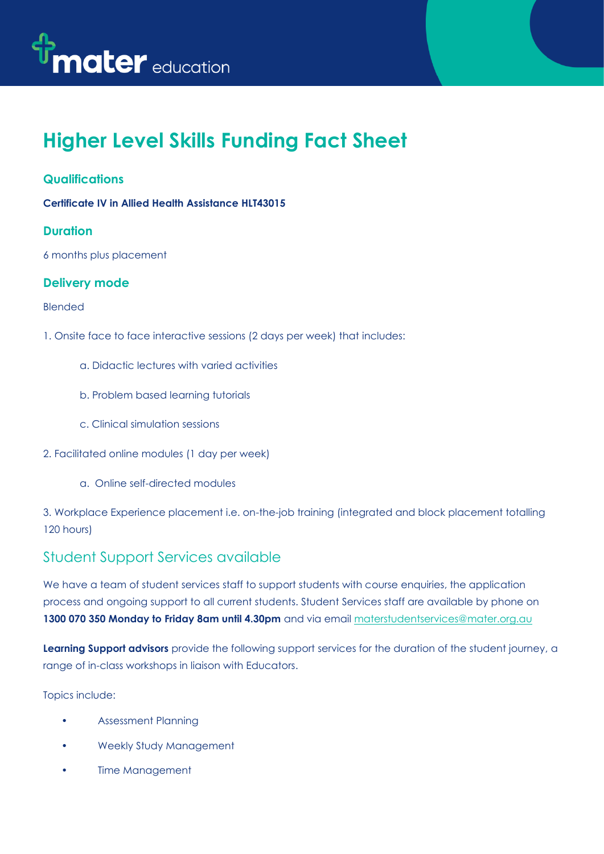

# **Higher Level Skills Funding Fact Sheet**

# **Qualifications**

**Certificate IV in Allied Health Assistance HLT43015**

## **Duration**

6 months plus placement

## **Delivery mode**

#### Blended

- 1. Onsite face to face interactive sessions (2 days per week) that includes:
	- a. Didactic lectures with varied activities
	- b. Problem based learning tutorials
	- c. Clinical simulation sessions
- 2. Facilitated online modules (1 day per week)
	- a. Online self-directed modules

3. Workplace Experience placement i.e. on-the-job training (integrated and block placement totalling 120 hours)

# Student Support Services available

We have a team of student services staff to support students with course enquiries, the application process and ongoing support to all current students. Student Services staff are available by phone on 1300 070 350 Monday to Friday 8am until 4.30pm and via email<materstudentservices@mater.org.au>

**Learning Support advisors** provide the following support services for the duration of the student journey, a range of in-class workshops in liaison with Educators.

Topics include:

- Assessment Planning
- Weekly Study Management
- Time Management